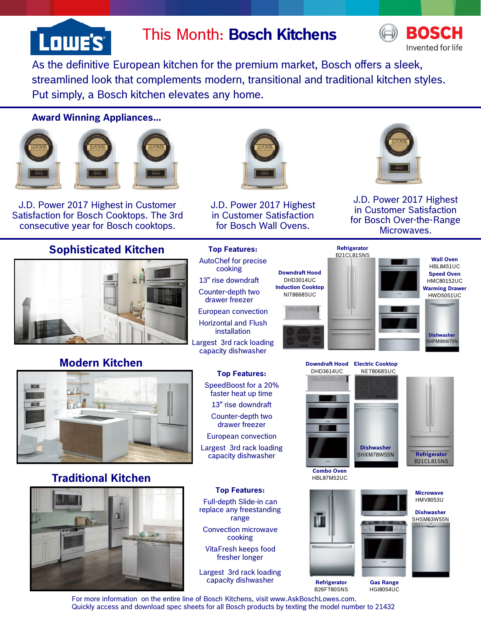

# This Month: **Bosch Kitchens**



As the definitive European kitchen for the premium market, Bosch offers a sleek, streamlined look that complements modern, transitional and traditional kitchen styles. Put simply, a Bosch kitchen elevates any home.

#### **Award Winning Appliances...**



J.D. Power 2017 Highest in Customer Satisfaction for Bosch Cooktops. The 3rd consecutive year for Bosch cooktops.

### **Sophisticated Kitchen**



## **Modern Kitchen**



### **Traditional Kitchen**





J.D. Power 2017 Highest in Customer Satisfaction for Bosch Wall Ovens.

**Top Features:**  AutoChef for precise cooking 13" rise downdraft Counter-depth two drawer freezer European convection Horizontal and Flush installation

capacity dishwasher

**Top Features:** 

faster heat up time 13" rise downdraft Counter-depth two drawer freezer European convection Largest 3rd rack loading capacity dishwasher

**Top Features:**  Full-depth Slide-in can replace any freestanding range Convection microwave cooking VitaFresh keeps food fresher longer Largest 3rd rack loading capacity dishwasher



J.D. Power 2017 Highest in Customer Satisfaction for Bosch Over-the-Range Microwaves.



**Downdraft Hood** DHD3614UC

**Electric Cooktop**  NET8068SUC



**HBL87M52UC** 





**Dishwasher** 

**Refrigerator**  B21CL81SNS



**Refrigerator**  B26FT80SNS

**Gas Range**  HGI8054UC

For more information on the entire line of Bosch Kitchens, visit www.AskBoschLowes.com. Quickly access and download spec sheets for all Bosch products by texting the model number to 21432

SpeedBoost for a 20%

**Combo Oven**